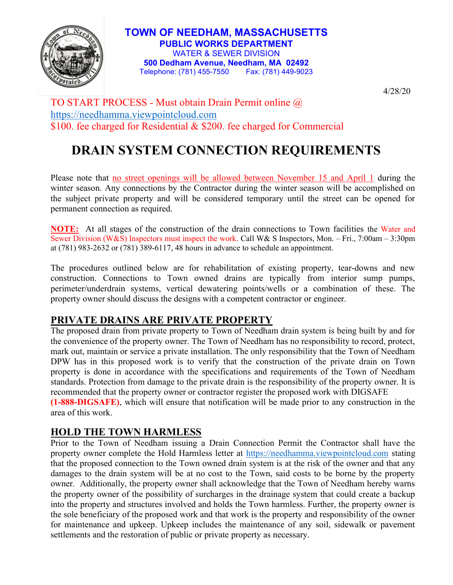

TOWN OF NEEDHAM, MASSACHUSETTS PUBLIC WORKS DEPARTMENT WATER & SEWER DIVISION 500 Dedham Avenue, Needham, MA 02492 Telephone: (781) 455-7550 Fax: (781) 449-9023

### TO START PROCESS - Must obtain Drain Permit online @ https://needhamma.viewpointcloud.com \$100. fee charged for Residential & \$200. fee charged for Commercial

# DRAIN SYSTEM CONNECTION REQUIREMENTS

Please note that <u>no street openings will be allowed between November 15 and April 1</u> during the winter season. Any connections by the Contractor during the winter season will be accomplished on the subject private property and will be considered temporary until the street can be opened for permanent connection as required.

NOTE: At all stages of the construction of the drain connections to Town facilities the Water and Sewer Division (W&S) Inspectors must inspect the work. Call W& S Inspectors, Mon. – Fri., 7:00am – 3:30pm at (781) 983-2632 or (781) 389-6117, 48 hours in advance to schedule an appointment.

The procedures outlined below are for rehabilitation of existing property, tear-downs and new construction. Connections to Town owned drains are typically from interior sump pumps, perimeter/underdrain systems, vertical dewatering points/wells or a combination of these. The property owner should discuss the designs with a competent contractor or engineer.

#### PRIVATE DRAINS ARE PRIVATE PROPERTY

The proposed drain from private property to Town of Needham drain system is being built by and for the convenience of the property owner. The Town of Needham has no responsibility to record, protect, mark out, maintain or service a private installation. The only responsibility that the Town of Needham DPW has in this proposed work is to verify that the construction of the private drain on Town property is done in accordance with the specifications and requirements of the Town of Needham standards. Protection from damage to the private drain is the responsibility of the property owner. It is recommended that the property owner or contractor register the proposed work with DIGSAFE

(1-888-DIGSAFE), which will ensure that notification will be made prior to any construction in the area of this work.

#### HOLD THE TOWN HARMLESS

Prior to the Town of Needham issuing a Drain Connection Permit the Contractor shall have the property owner complete the Hold Harmless letter at https://needhamma.viewpointcloud.com stating that the proposed connection to the Town owned drain system is at the risk of the owner and that any damages to the drain system will be at no cost to the Town, said costs to be borne by the property owner. Additionally, the property owner shall acknowledge that the Town of Needham hereby warns the property owner of the possibility of surcharges in the drainage system that could create a backup into the property and structures involved and holds the Town harmless. Further, the property owner is the sole beneficiary of the proposed work and that work is the property and responsibility of the owner for maintenance and upkeep. Upkeep includes the maintenance of any soil, sidewalk or pavement settlements and the restoration of public or private property as necessary.